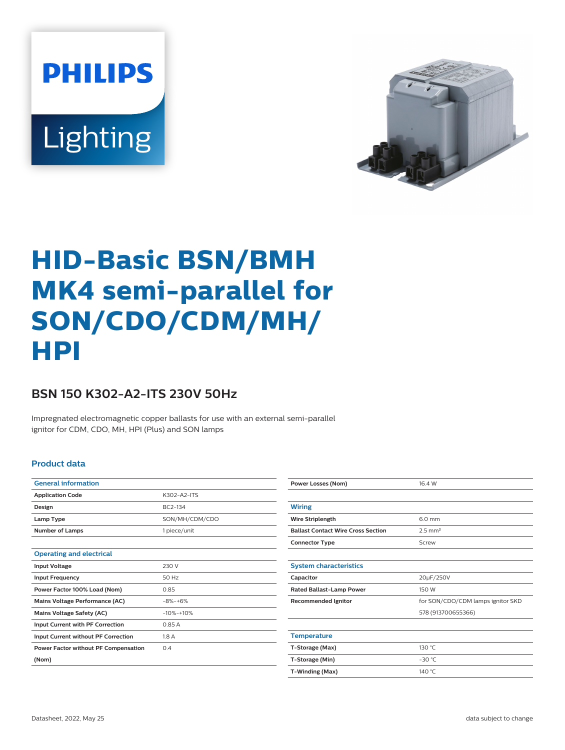**PHILIPS** Lighting



# **HID-Basic BSN/BMH MK4 semi-parallel for SON/CDO/CDM/MH/ HPI**

## **BSN 150 K302-A2-ITS 230V 50Hz**

Impregnated electromagnetic copper ballasts for use with an external semi-parallel ignitor for CDM, CDO, MH, HPI (Plus) and SON lamps

#### **Product data**

| <b>General information</b>                  |                |  |  |  |
|---------------------------------------------|----------------|--|--|--|
| <b>Application Code</b>                     | K302-A2-ITS    |  |  |  |
| Design                                      | BC2-134        |  |  |  |
| Lamp Type                                   | SON/MH/CDM/CDO |  |  |  |
| <b>Number of Lamps</b>                      | 1 piece/unit   |  |  |  |
|                                             |                |  |  |  |
| <b>Operating and electrical</b>             |                |  |  |  |
| <b>Input Voltage</b>                        | 230 V          |  |  |  |
| <b>Input Frequency</b>                      | 50 Hz          |  |  |  |
| Power Factor 100% Load (Nom)                | 0.85           |  |  |  |
| Mains Voltage Performance (AC)              | $-8% -+6%$     |  |  |  |
| <b>Mains Voltage Safety (AC)</b>            | $-10% -10%$    |  |  |  |
| Input Current with PF Correction            | 0.85A          |  |  |  |
| Input Current without PF Correction         | 1.8A           |  |  |  |
| <b>Power Factor without PF Compensation</b> | 0.4            |  |  |  |
| (Nom)                                       |                |  |  |  |
|                                             |                |  |  |  |

| <b>Power Losses (Nom)</b>                 | 16.4 W                            |  |  |  |
|-------------------------------------------|-----------------------------------|--|--|--|
|                                           |                                   |  |  |  |
| <b>Wiring</b>                             |                                   |  |  |  |
| Wire Striplength                          | 6.0 mm                            |  |  |  |
| <b>Ballast Contact Wire Cross Section</b> | $2.5$ mm <sup>2</sup>             |  |  |  |
| <b>Connector Type</b>                     | Screw                             |  |  |  |
|                                           |                                   |  |  |  |
| <b>System characteristics</b>             |                                   |  |  |  |
| Capacitor                                 | 20µF/250V                         |  |  |  |
| <b>Rated Ballast-Lamp Power</b>           | 150 W                             |  |  |  |
| <b>Recommended Ignitor</b>                | for SON/CDO/CDM lamps ignitor SKD |  |  |  |
|                                           | 578 (913700655366)                |  |  |  |
|                                           |                                   |  |  |  |
| <b>Temperature</b>                        |                                   |  |  |  |
| T-Storage (Max)                           | 130 °C                            |  |  |  |
| T-Storage (Min)                           | $-30$ °C                          |  |  |  |
| T-Winding (Max)                           | 140 $^{\circ}$ C                  |  |  |  |
|                                           |                                   |  |  |  |